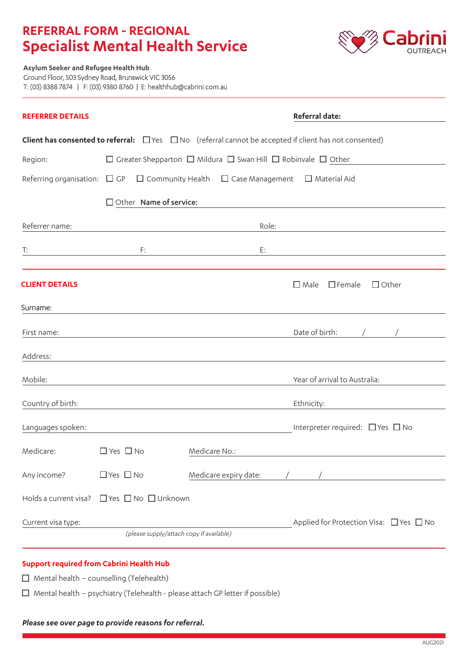# **REFERRAL FORM - REGIONAL Specialist Mental Health Service**



**Asylum Seeker and Refugee Health Hub** Ground Floor, 503 Sydney Road, Brunswick VIC 3056 T: (03) 8388 7874 | F: (03) 9380 8760 | E: healthhub@cabrini.com.au

| <b>REFERRER DETAILS</b>                                                                              |                      |                                                                                         |               |                       | <b>Referral date:</b>                                                                                                   |  |  |  |
|------------------------------------------------------------------------------------------------------|----------------------|-----------------------------------------------------------------------------------------|---------------|-----------------------|-------------------------------------------------------------------------------------------------------------------------|--|--|--|
|                                                                                                      |                      |                                                                                         |               |                       | <b>Client has consented to referral:</b> $\Box$ Yes $\Box$ No (referral cannot be accepted if client has not consented) |  |  |  |
| Region:                                                                                              |                      | $\Box$ Greater Shepparton $\Box$ Mildura $\Box$ Swan Hill $\Box$ Robinvale $\Box$ Other |               |                       |                                                                                                                         |  |  |  |
| Referring organisation: $\Box$ GP $\Box$ Community Health $\Box$ Case Management $\Box$ Material Aid |                      |                                                                                         |               |                       |                                                                                                                         |  |  |  |
|                                                                                                      |                      | □ Other Name of service:                                                                |               |                       |                                                                                                                         |  |  |  |
| Referrer name:                                                                                       |                      |                                                                                         |               | Role:                 |                                                                                                                         |  |  |  |
| T:                                                                                                   |                      | F:                                                                                      |               | E:                    |                                                                                                                         |  |  |  |
|                                                                                                      |                      |                                                                                         |               |                       |                                                                                                                         |  |  |  |
| <b>CLIENT DETAILS</b>                                                                                |                      |                                                                                         |               |                       | $\Box$ Female<br>$\Box$ Other<br>$\square$ Male                                                                         |  |  |  |
| Surname:                                                                                             |                      |                                                                                         |               |                       |                                                                                                                         |  |  |  |
| First name:                                                                                          |                      |                                                                                         |               |                       | Date of birth:                                                                                                          |  |  |  |
| Address:                                                                                             |                      |                                                                                         |               |                       |                                                                                                                         |  |  |  |
| Mobile:                                                                                              |                      |                                                                                         |               |                       | Year of arrival to Australia:                                                                                           |  |  |  |
| Country of birth:                                                                                    |                      |                                                                                         |               |                       | Ethnicity:                                                                                                              |  |  |  |
| Languages spoken:                                                                                    |                      |                                                                                         |               |                       | Interpreter required: □ Yes □ No                                                                                        |  |  |  |
| Medicare:                                                                                            | $\Box$ Yes $\Box$ No |                                                                                         | Medicare No.: |                       |                                                                                                                         |  |  |  |
| Any income?                                                                                          | $\Box$ Yes $\Box$ No |                                                                                         |               | Medicare expiry date: |                                                                                                                         |  |  |  |
| Holds a current visa?                                                                                |                      | $\Box$ Yes $\Box$ No $\Box$ Unknown                                                     |               |                       |                                                                                                                         |  |  |  |
| Current visa type:                                                                                   |                      | (please supply/attach copy if available)                                                |               |                       | Applied for Protection Visa: $\Box$ Yes $\Box$ No                                                                       |  |  |  |
|                                                                                                      |                      |                                                                                         |               |                       |                                                                                                                         |  |  |  |

### **Support required from Cabrini Health Hub**

 $\Box$  Mental health – counselling (Telehealth)

 $\Box$  Mental health – psychiatry (Telehealth - please attach GP letter if possible)

#### *Please see over page to provide reasons for referral.*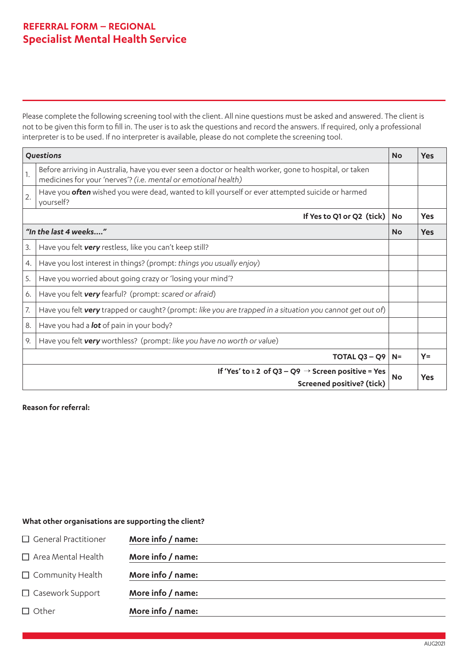### **REFERRAL FORM – REGIONAL Specialist Mental Health Service**

Please complete the following screening tool with the client. All nine questions must be asked and answered. The client is not to be given this form to fill in. The user is to ask the questions and record the answers. If required, only a professional interpreter is to be used. If no interpreter is available, please do not complete the screening tool.

| Questions                                                                                              |                                                                                                                                                                          |           | <b>Yes</b> |
|--------------------------------------------------------------------------------------------------------|--------------------------------------------------------------------------------------------------------------------------------------------------------------------------|-----------|------------|
| 1.                                                                                                     | Before arriving in Australia, have you ever seen a doctor or health worker, gone to hospital, or taken<br>medicines for your 'nerves'? (i.e. mental or emotional health) |           |            |
| 2.                                                                                                     | Have you <b>often</b> wished you were dead, wanted to kill yourself or ever attempted suicide or harmed<br>yourself?                                                     |           |            |
|                                                                                                        | If Yes to Q1 or Q2 (tick)                                                                                                                                                | <b>No</b> | <b>Yes</b> |
| "In the last 4 weeks"                                                                                  |                                                                                                                                                                          |           | <b>Yes</b> |
| 3.                                                                                                     | Have you felt very restless, like you can't keep still?                                                                                                                  |           |            |
| 4.                                                                                                     | Have you lost interest in things? (prompt: things you usually enjoy)                                                                                                     |           |            |
| 5.                                                                                                     | Have you worried about going crazy or 'losing your mind'?                                                                                                                |           |            |
| 6.                                                                                                     | Have you felt very fearful? (prompt: scared or afraid)                                                                                                                   |           |            |
| 7.                                                                                                     | Have you felt very trapped or caught? (prompt: like you are trapped in a situation you cannot get out of)                                                                |           |            |
| 8.                                                                                                     | Have you had a <b>lot</b> of pain in your body?                                                                                                                          |           |            |
| 9.                                                                                                     | Have you felt very worthless? (prompt: like you have no worth or value)                                                                                                  |           |            |
| TOTAL $Q3 - Q9$                                                                                        |                                                                                                                                                                          |           | $Y =$      |
| If 'Yes' to $\ge 2$ of Q3 – Q9 $\rightarrow$ Screen positive = Yes<br><b>Screened positive? (tick)</b> |                                                                                                                                                                          |           |            |

#### **Reason for referral:**

### **What other organisations are supporting the client?**

| More info / name: |
|-------------------|
| More info / name: |
| More info / name: |
| More info / name: |
| More info / name: |
|                   |